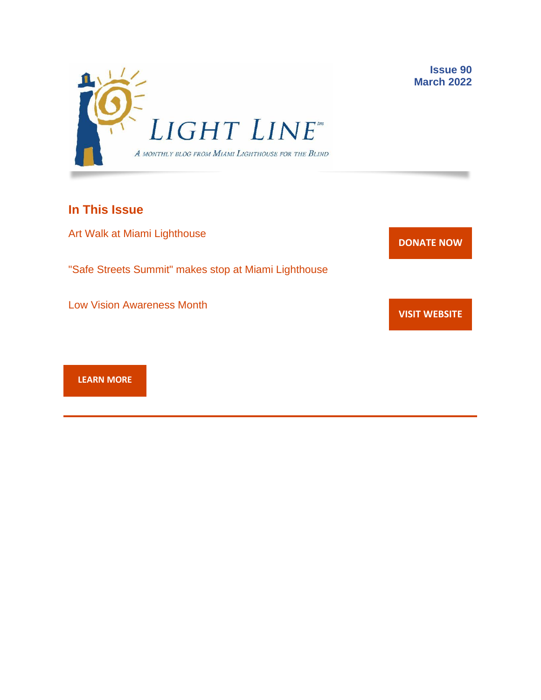

# **In This Issue**

Art Walk at Miami Lighthouse

"Safe Streets Summit" makes stop at Miami Lighthouse

Low Vision Awareness Month



**Issue 90 March 2022**

**VISIT [WEBSITE](http://r20.rs6.net/tn.jsp?f=001gO2GdS4FPEo240mg91k3c6HYN6ozMk69i8vrHipkUVt0nirc6iRjFp5OLUPp5xz8iJ7cM7NxB4ho-pmJZegg-UUCCff2BfEg0hVFNWmithw5L76cpbdpMlw1ZgIRlQC6OwIp0zOZvc1jcAvQYtup6ODb3HvWFX4_CFaBZinytweEHJSIK44w1g==&c=A5xWHdmKDISdqoVssYAkMfhtdAlzuVskAHp3ASewWzRv5OnB7XubeA==&ch=KFi9wV6k5Z13Ef8Qia4fM-L584mfsNs0RWKjkNv-Bombmn4mZKg5Lw==)**

**[LEARN MORE](http://www.miamilighthouse.org)**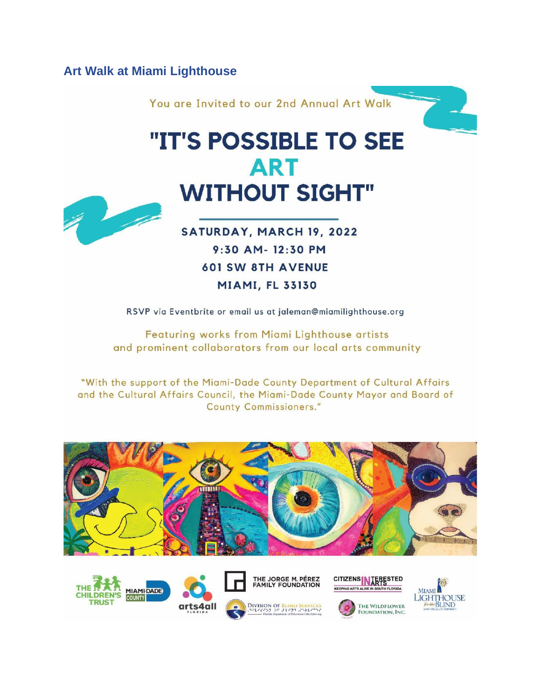## **Art Walk at Miami Lighthouse**



Featuring works from Miami Lighthouse artists and prominent collaborators from our local arts community

"With the support of the Miami-Dade County Department of Cultural Affairs and the Cultural Affairs Council, the Miami-Dade County Mayor and Board of **County Commissioners."** 









DIVISION OF BLIND SERVICE



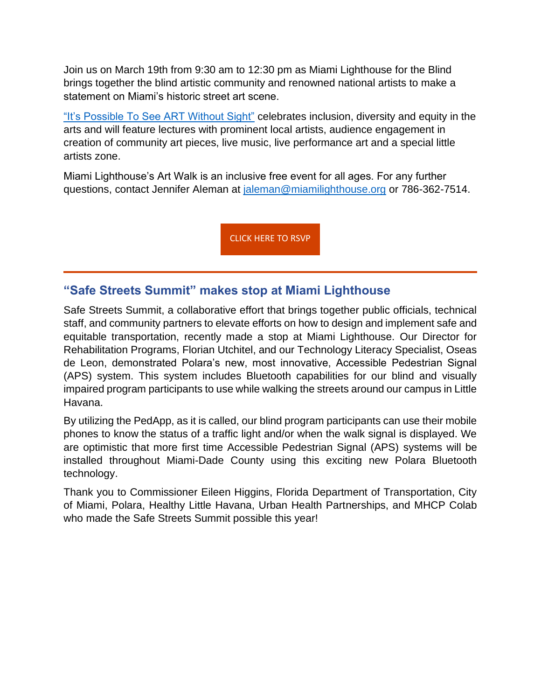Join us on March 19th from 9:30 am to 12:30 pm as Miami Lighthouse for the Blind brings together the blind artistic community and renowned national artists to make a statement on Miami's historic street art scene.

["It's Possible To See ART Without Sight"](https://www.miamilighthouse.org/ArtWalk.asp) celebrates inclusion, diversity and equity in the arts and will feature lectures with prominent local artists, audience engagement in creation of community art pieces, live music, live performance art and a special little artists zone.

Miami Lighthouse's Art Walk is an inclusive free event for all ages. For any further questions, contact Jennifer Aleman at [jaleman@miamilighthouse.org](mailto:jaleman@miamilighthouse.org) or 786-362-7514.

[CLICK HERE TO RSVP](https://www.eventbrite.com/e/art-walk-at-miami-lighthouse-tickets-265254662837)

## **"Safe Streets Summit" makes stop at Miami Lighthouse**

Safe Streets Summit, a collaborative effort that brings together public officials, technical staff, and community partners to elevate efforts on how to design and implement safe and equitable transportation, recently made a stop at Miami Lighthouse. Our Director for Rehabilitation Programs, Florian Utchitel, and our Technology Literacy Specialist, Oseas de Leon, demonstrated Polara's new, most innovative, Accessible Pedestrian Signal (APS) system. This system includes Bluetooth capabilities for our blind and visually impaired program participants to use while walking the streets around our campus in Little Havana.

By utilizing the PedApp, as it is called, our blind program participants can use their mobile phones to know the status of a traffic light and/or when the walk signal is displayed. We are optimistic that more first time Accessible Pedestrian Signal (APS) systems will be installed throughout Miami-Dade County using this exciting new Polara Bluetooth technology.

Thank you to Commissioner Eileen Higgins, Florida Department of Transportation, City of Miami, Polara, Healthy Little Havana, Urban Health Partnerships, and MHCP Colab who made the Safe Streets Summit possible this year!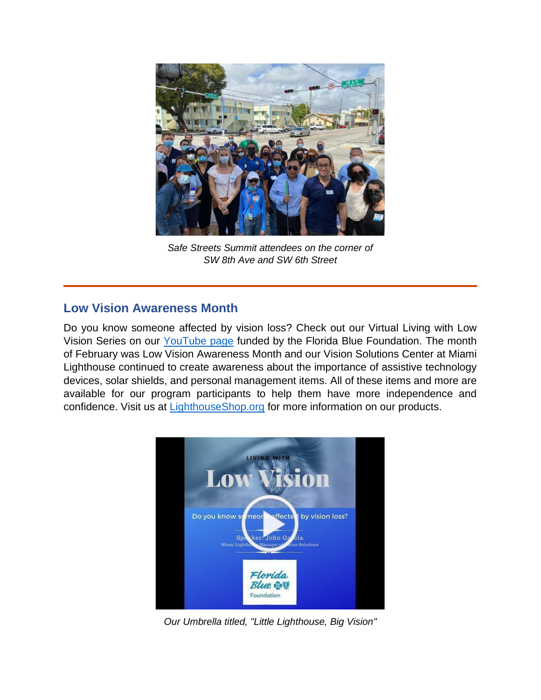

*Safe Streets Summit attendees on the corner of SW 8th Ave and SW 6th Street*

# **Low Vision Awareness Month**

Do you know someone affected by vision loss? Check out our Virtual Living with Low Vision Series on our [YouTube page](https://www.youtube.com/playlist?list=PL9qrgefqoEmzjashY76_6Jg_bgrbmv03F) funded by the Florida Blue Foundation. The month of February was Low Vision Awareness Month and our Vision Solutions Center at Miami Lighthouse continued to create awareness about the importance of assistive technology devices, solar shields, and personal management items. All of these items and more are available for our program participants to help them have more independence and confidence. Visit us at [LighthouseShop.org](https://lighthouseshop.org/) for more information on our products.



*Our Umbrella titled, "Little Lighthouse, Big Vision"*